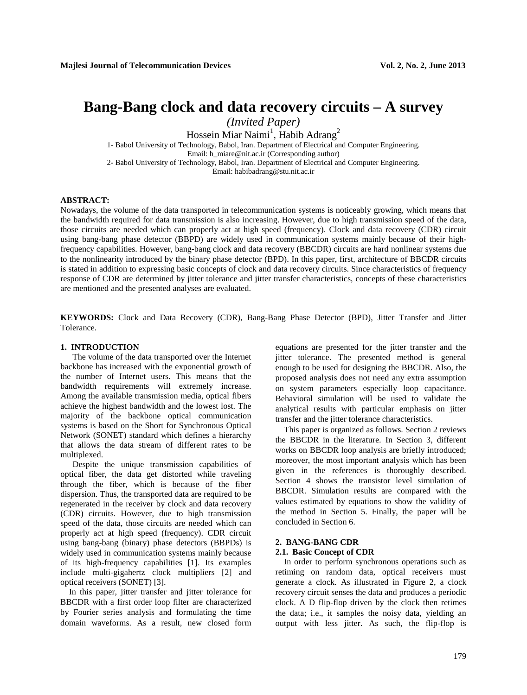# **Bang-Bang clock and data recovery circuits – A survey**

*(Invited Paper)*

Hossein Miar Naimi<sup>1</sup>, Habib Adrang<sup>2</sup> 1- Babol University of Technology, Babol, Iran. Department of Electrical and Computer Engineering. Email: h\_miare@nit.ac.ir (Corresponding author) 2- Babol University of Technology, Babol, Iran. Department of Electrical and Computer Engineering. Email: habibadrang@stu.nit.ac.ir

# **ABSTRACT:**

Nowadays, the volume of the data transported in telecommunication systems is noticeably growing, which means that the bandwidth required for data transmission is also increasing. However, due to high transmission speed of the data, those circuits are needed which can properly act at high speed (frequency). Clock and data recovery (CDR) circuit using bang-bang phase detector (BBPD) are widely used in communication systems mainly because of their highfrequency capabilities. However, bang-bang clock and data recovery (BBCDR) circuits are hard nonlinear systems due to the nonlinearity introduced by the binary phase detector (BPD). In this paper, first, architecture of BBCDR circuits is stated in addition to expressing basic concepts of clock and data recovery circuits. Since characteristics of frequency response of CDR are determined by jitter tolerance and jitter transfer characteristics, concepts of these characteristics are mentioned and the presented analyses are evaluated.

**KEYWORDS:** Clock and Data Recovery (CDR), Bang-Bang Phase Detector (BPD), Jitter Transfer and Jitter Tolerance.

#### **1. INTRODUCTION**

The volume of the data transported over the Internet backbone has increased with the exponential growth of the number of Internet users. This means that the bandwidth requirements will extremely increase. Among the available transmission media, optical fibers achieve the highest bandwidth and the lowest lost. The majority of the backbone optical communication systems is based on the Short for Synchronous Optical Network (SONET) standard which defines a hierarchy that allows the data stream of different rates to be multiplexed.

Despite the unique transmission capabilities of optical fiber, the data get distorted while traveling through the fiber, which is because of the fiber dispersion. Thus, the transported data are required to be regenerated in the receiver by clock and data recovery (CDR) circuits. However, due to high transmission speed of the data, those circuits are needed which can properly act at high speed (frequency). CDR circuit using bang-bang (binary) phase detectors (BBPDs) is widely used in communication systems mainly because of its high-frequency capabilities [1]. Its examples include multi-gigahertz clock multipliers [2] and optical receivers (SONET) [3].

In this paper, jitter transfer and jitter tolerance for BBCDR with a first order loop filter are characterized by Fourier series analysis and formulating the time domain waveforms. As a result, new closed form

equations are presented for the jitter transfer and the jitter tolerance. The presented method is general enough to be used for designing the BBCDR. Also, the proposed analysis does not need any extra assumption on system parameters especially loop capacitance. Behavioral simulation will be used to validate the analytical results with particular emphasis on jitter transfer and the jitter tolerance characteristics.

This paper is organized as follows. Section 2 reviews the BBCDR in the literature. In Section 3, different works on BBCDR loop analysis are briefly introduced; moreover, the most important analysis which has been given in the references is thoroughly described. Section 4 shows the transistor level simulation of BBCDR. Simulation results are compared with the values estimated by equations to show the validity of the method in Section 5. Finally, the paper will be concluded in Section 6.

# **2. BANG-BANG CDR**

### **2.1. Basic Concept of CDR**

In order to perform synchronous operations such as retiming on random data, optical receivers must generate a clock. As illustrated in Figure 2, a clock recovery circuit senses the data and produces a periodic clock. A D flip-flop driven by the clock then retimes the data; i.e., it samples the noisy data, yielding an output with less jitter. As such, the flip-flop is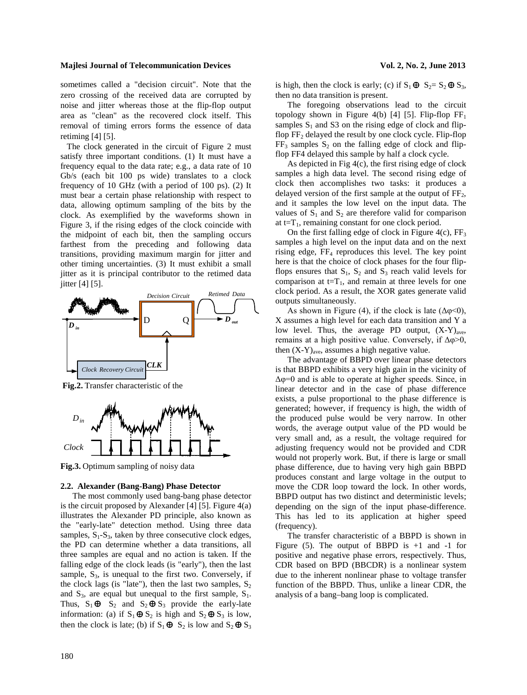sometimes called a "decision circuit". Note that the zero crossing of the received data are corrupted by noise and jitter whereas those at the flip-flop output area as "clean" as the recovered clock itself. This removal of timing errors forms the essence of data retiming [4] [5].

 The clock generated in the circuit of Figure 2 must satisfy three important conditions. (1) It must have a frequency equal to the data rate; e.g., a data rate of 10 Gb/s (each bit 100 ps wide) translates to a clock frequency of 10 GHz (with a period of 100 ps). (2) It must bear a certain phase relationship with respect to data, allowing optimum sampling of the bits by the clock. As exemplified by the waveforms shown in Figure 3, if the rising edges of the clock coincide with the midpoint of each bit, then the sampling occurs farthest from the preceding and following data transitions, providing maximum margin for jitter and other timing uncertainties. (3) It must exhibit a small jitter as it is principal contributor to the retimed data jitter [4] [5].



**Fig.2.** Transfer characteristic of the



**Fig.3.** Optimum sampling of noisy data

#### **2.2. Alexander (Bang-Bang) Phase Detector**

The most commonly used bang-bang phase detector is the circuit proposed by Alexander [4] [5]. Figure 4(a) illustrates the Alexander PD principle, also known as the "early-late" detection method. Using three data samples,  $S_1-S_3$ , taken by three consecutive clock edges, the PD can determine whether a data transitions, all three samples are equal and no action is taken. If the falling edge of the clock leads (is "early"), then the last sample,  $S_3$ , is unequal to the first two. Conversely, if the clock lags (is "late"), then the last two samples,  $S_2$ and  $S_3$ , are equal but unequal to the first sample,  $S_1$ . Thus,  $S_1 \oplus S_2$  and  $S_2 \oplus S_3$  provide the early-late information: (a) if  $S_1 \oplus S_2$  is high and  $S_2 \oplus S_3$  is low, then the clock is late; (b) if  $S_1 \oplus S_2$  is low and  $S_2 \oplus S_3$ 

is high, then the clock is early; (c) if  $S_1 \oplus S_2 = S_2 \oplus S_3$ , then no data transition is present.

The foregoing observations lead to the circuit topology shown in Figure 4(b) [4] [5]. Flip-flop  $FF_1$ samples  $S_1$  and S3 on the rising edge of clock and flipflop  $FF<sub>2</sub>$  delayed the result by one clock cycle. Flip-flop  $FF_3$  samples  $S_2$  on the falling edge of clock and flipflop FF4 delayed this sample by half a clock cycle.

As depicted in Fig 4(c), the first rising edge of clock samples a high data level. The second rising edge of clock then accomplishes two tasks: it produces a delayed version of the first sample at the output of  $FF_2$ , and it samples the low level on the input data. The values of  $S_1$  and  $S_2$  are therefore valid for comparison at  $t=T_1$ , remaining constant for one clock period.

On the first falling edge of clock in Figure  $4(c)$ , FF<sub>3</sub> samples a high level on the input data and on the next rising edge,  $FF_4$  reproduces this level. The key point here is that the choice of clock phases for the four flipflops ensures that  $S_1$ ,  $S_2$  and  $S_3$  reach valid levels for comparison at  $t=T_1$ , and remain at three levels for one clock period. As a result, the XOR gates generate valid outputs simultaneously.

As shown in Figure (4), if the clock is late  $(\Delta \varphi \le 0)$ , X assumes a high level for each data transition and Y a low level. Thus, the average PD output,  $(X-Y)_{ave}$ , remains at a high positive value. Conversely, if  $Δφ>0$ , then  $(X-Y)_{ave}$ , assumes a high negative value.

The advantage of BBPD over linear phase detectors is that BBPD exhibits a very high gain in the vicinity of  $\Delta \varphi = 0$  and is able to operate at higher speeds. Since, in linear detector and in the case of phase difference exists, a pulse proportional to the phase difference is generated; however, if frequency is high, the width of the produced pulse would be very narrow. In other words, the average output value of the PD would be very small and, as a result, the voltage required for adjusting frequency would not be provided and CDR would not properly work. But, if there is large or small phase difference, due to having very high gain BBPD produces constant and large voltage in the output to move the CDR loop toward the lock. In other words, BBPD output has two distinct and deterministic levels; depending on the sign of the input phase-difference. This has led to its application at higher speed (frequency).

The transfer characteristic of a BBPD is shown in Figure (5). The output of BBPD is  $+1$  and  $-1$  for positive and negative phase errors, respectively. Thus, CDR based on BPD (BBCDR) is a nonlinear system due to the inherent nonlinear phase to voltage transfer function of the BBPD. Thus, unlike a linear CDR, the analysis of a bang–bang loop is complicated.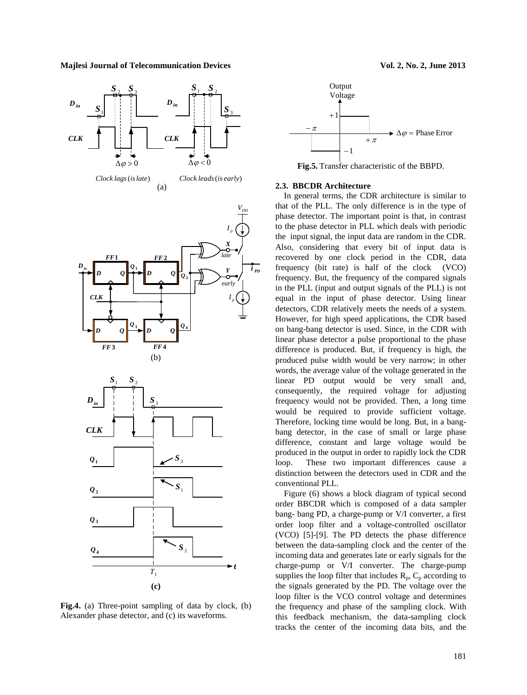

(a)



**Fig.4.** (a) Three-point sampling of data by clock, (b) Alexander phase detector, and (c) its waveforms.



**Fig.5.** Transfer characteristic of the BBPD.

 $+ \pi$ 

−1

# **2.3. BBCDR Architecture**

In general terms, the CDR architecture is similar to that of the PLL. The only difference is in the type of phase detector. The important point is that, in contrast to the phase detector in PLL which deals with periodic the input signal, the input data are random in the CDR. Also, considering that every bit of input data is recovered by one clock period in the CDR, data frequency (bit rate) is half of the clock (VCO) frequency. But, the frequency of the compared signals in the PLL (input and output signals of the PLL) is not equal in the input of phase detector. Using linear detectors, CDR relatively meets the needs of a system. However, for high speed applications, the CDR based on bang-bang detector is used. Since, in the CDR with linear phase detector a pulse proportional to the phase difference is produced. But, if frequency is high, the produced pulse width would be very narrow; in other words, the average value of the voltage generated in the linear PD output would be very small and, consequently, the required voltage for adjusting frequency would not be provided. Then, a long time would be required to provide sufficient voltage. Therefore, locking time would be long. But, in a bangbang detector, in the case of small or large phase difference, constant and large voltage would be produced in the output in order to rapidly lock the CDR loop. These two important differences cause a distinction between the detectors used in CDR and the conventional PLL.

Figure (6) shows a block diagram of typical second order BBCDR which is composed of a data sampler bang- bang PD, a charge-pump or V/I converter, a first order loop filter and a voltage-controlled oscillator (VCO) [5]-[9]. The PD detects the phase difference between the data-sampling clock and the center of the incoming data and generates late or early signals for the charge-pump or V/I converter. The charge-pump supplies the loop filter that includes  $R_p$ ,  $C_p$  according to the signals generated by the PD. The voltage over the loop filter is the VCO control voltage and determines the frequency and phase of the sampling clock. With this feedback mechanism, the data-sampling clock tracks the center of the incoming data bits, and the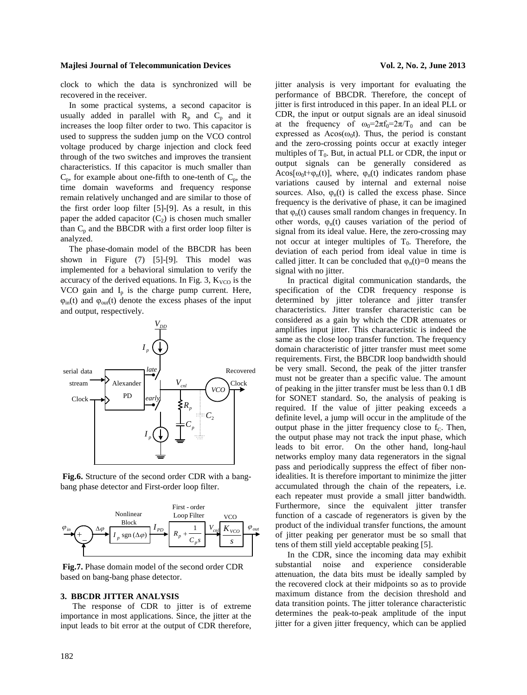clock to which the data is synchronized will be recovered in the receiver.

In some practical systems, a second capacitor is usually added in parallel with  $R_p$  and  $C_p$  and it increases the loop filter order to two. This capacitor is used to suppress the sudden jump on the VCO control voltage produced by charge injection and clock feed through of the two switches and improves the transient characteristics. If this capacitor is much smaller than  $C_p$ , for example about one-fifth to one-tenth of  $C_p$ , the time domain waveforms and frequency response remain relatively unchanged and are similar to those of the first order loop filter [5]-[9]. As a result, in this paper the added capacitor  $(C_2)$  is chosen much smaller than  $C_p$  and the BBCDR with a first order loop filter is analyzed.

The phase-domain model of the BBCDR has been shown in Figure (7) [5]-[9]. This model was implemented for a behavioral simulation to verify the accuracy of the derived equations. In Fig. 3,  $K_{VCO}$  is the VCO gain and  $I_n$  is the charge pump current. Here,  $\varphi_{\text{in}}(t)$  and  $\varphi_{\text{out}}(t)$  denote the excess phases of the input and output, respectively.



**Fig.6.** Structure of the second order CDR with a bangbang phase detector and First-order loop filter.



**Fig.7.** Phase domain model of the second order CDR based on bang-bang phase detector.

### **3. BBCDR JITTER ANALYSIS**

The response of CDR to jitter is of extreme importance in most applications. Since, the jitter at the input leads to bit error at the output of CDR therefore,

jitter analysis is very important for evaluating the performance of BBCDR. Therefore, the concept of jitter is first introduced in this paper. In an ideal PLL or CDR, the input or output signals are an ideal sinusoid at the frequency of  $\omega_0=2\pi f_0=2\pi/T_0$  and can be expressed as  $A\cos(\omega_0 t)$ . Thus, the period is constant and the zero-crossing points occur at exactly integer multiples of  $T_0$ . But, in actual PLL or CDR, the input or output signals can be generally considered as  $A\cos[\omega_0 t + \varphi_n(t)]$ , where,  $\varphi_n(t)$  indicates random phase variations caused by internal and external noise sources. Also,  $\varphi_n(t)$  is called the excess phase. Since frequency is the derivative of phase, it can be imagined that  $\varphi_n(t)$  causes small random changes in frequency. In other words,  $\varphi_n(t)$  causes variation of the period of signal from its ideal value. Here, the zero-crossing may not occur at integer multiples of  $T_0$ . Therefore, the deviation of each period from ideal value in time is called jitter. It can be concluded that  $\varphi_n(t)=0$  means the signal with no jitter.

In practical digital communication standards, the specification of the CDR frequency response is determined by jitter tolerance and jitter transfer characteristics. Jitter transfer characteristic can be considered as a gain by which the CDR attenuates or amplifies input jitter. This characteristic is indeed the same as the close loop transfer function. The frequency domain characteristic of jitter transfer must meet some requirements. First, the BBCDR loop bandwidth should be very small. Second, the peak of the jitter transfer must not be greater than a specific value. The amount of peaking in the jitter transfer must be less than 0.1 dB for SONET standard. So, the analysis of peaking is required. If the value of jitter peaking exceeds a definite level, a jump will occur in the amplitude of the output phase in the jitter frequency close to  $f<sub>C</sub>$ . Then, the output phase may not track the input phase, which leads to bit error. On the other hand, long-haul networks employ many data regenerators in the signal pass and periodically suppress the effect of fiber nonidealities. It is therefore important to minimize the jitter accumulated through the chain of the repeaters, i.e. each repeater must provide a small jitter bandwidth. Furthermore, since the equivalent jitter transfer function of a cascade of regenerators is given by the product of the individual transfer functions, the amount of jitter peaking per generator must be so small that tens of them still yield acceptable peaking [5].

In the CDR, since the incoming data may exhibit substantial noise and experience considerable attenuation, the data bits must be ideally sampled by the recovered clock at their midpoints so as to provide maximum distance from the decision threshold and data transition points. The jitter tolerance characteristic determines the peak-to-peak amplitude of the input jitter for a given jitter frequency, which can be applied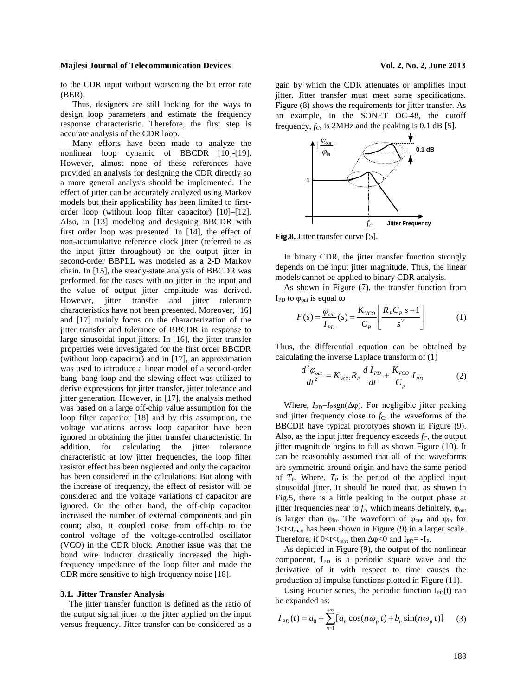to the CDR input without worsening the bit error rate (BER).

Thus, designers are still looking for the ways to design loop parameters and estimate the frequency response characteristic. Therefore, the first step is accurate analysis of the CDR loop.

Many efforts have been made to analyze the nonlinear loop dynamic of BBCDR [10]-[19]. However, almost none of these references have provided an analysis for designing the CDR directly so a more general analysis should be implemented. The effect of jitter can be accurately analyzed using Markov models but their applicability has been limited to firstorder loop (without loop filter capacitor) [10]–[12]. Also, in [13] modeling and designing BBCDR with first order loop was presented. In [14], the effect of non-accumulative reference clock jitter (referred to as the input jitter throughout) on the output jitter in second-order BBPLL was modeled as a 2-D Markov chain. In [15], the steady-state analysis of BBCDR was performed for the cases with no jitter in the input and the value of output jitter amplitude was derived. However, jitter transfer and jitter tolerance characteristics have not been presented. Moreover, [16] and [17] mainly focus on the characterization of the jitter transfer and tolerance of BBCDR in response to large sinusoidal input jitters. In [16], the jitter transfer properties were investigated for the first order BBCDR (without loop capacitor) and in [17], an approximation was used to introduce a linear model of a second-order bang–bang loop and the slewing effect was utilized to derive expressions for jitter transfer, jitter tolerance and jitter generation. However, in [17], the analysis method was based on a large off-chip value assumption for the loop filter capacitor [18] and by this assumption, the voltage variations across loop capacitor have been ignored in obtaining the jitter transfer characteristic. In addition, for calculating the jitter tolerance characteristic at low jitter frequencies, the loop filter resistor effect has been neglected and only the capacitor has been considered in the calculations. But along with the increase of frequency, the effect of resistor will be considered and the voltage variations of capacitor are ignored. On the other hand, the off-chip capacitor increased the number of external components and pin count; also, it coupled noise from off-chip to the control voltage of the voltage-controlled oscillator (VCO) in the CDR block. Another issue was that the bond wire inductor drastically increased the highfrequency impedance of the loop filter and made the CDR more sensitive to high-frequency noise [18].

#### **3.1. Jitter Transfer Analysis**

The jitter transfer function is defined as the ratio of the output signal jitter to the jitter applied on the input versus frequency. Jitter transfer can be considered as a

gain by which the CDR attenuates or amplifies input jitter. Jitter transfer must meet some specifications. Figure (8) shows the requirements for jitter transfer. As an example, in the SONET OC-48, the cutoff frequency,  $f_C$ , is 2MHz and the peaking is 0.1 dB [5].



**Fig.8.** Jitter transfer curve [5].

In binary CDR, the jitter transfer function strongly depends on the input jitter magnitude. Thus, the linear models cannot be applied to binary CDR analysis.

As shown in Figure (7), the transfer function from  $I_{\text{PD}}$  to  $\varphi_{\text{out}}$  is equal to

$$
F(s) = \frac{\varphi_{out}}{I_{PD}}(s) = \frac{K_{VCO}}{C_P} \left[ \frac{R_P C_P s + 1}{s^2} \right]
$$
 (1)

Thus, the differential equation can be obtained by calculating the inverse Laplace transform of (1)

$$
\frac{d^2 \varphi_{out}}{dt^2} = K_{VCO} R_P \frac{dI_{PD}}{dt} + \frac{K_{VCO}}{C_p} I_{PD}
$$
 (2)

Where,  $I_{\text{PD}}=I_{\text{P}}\text{sgn}(\Delta\varphi)$ . For negligible jitter peaking and jitter frequency close to  $f<sub>C</sub>$ , the waveforms of the BBCDR have typical prototypes shown in Figure (9). Also, as the input jitter frequency exceeds  $f<sub>C</sub>$ , the output jitter magnitude begins to fall as shown Figure (10). It can be reasonably assumed that all of the waveforms are symmetric around origin and have the same period of  $T_{\rm P}$ . Where,  $T_{\rm P}$  is the period of the applied input sinusoidal jitter. It should be noted that, as shown in Fig.5, there is a little peaking in the output phase at jitter frequencies near to  $f_c$ , which means definitely,  $\varphi_{\text{out}}$ is larger than  $\varphi_{\text{in}}$ . The waveform of  $\varphi_{\text{out}}$  and  $\varphi_{\text{in}}$  for  $0 \lt t \lt t_{\text{max}}$  has been shown in Figure (9) in a larger scale. Therefore, if  $0 < t < t_{max}$  then  $\Delta \varphi < 0$  and I<sub>PD</sub>= -I<sub>P</sub>.

As depicted in Figure (9), the output of the nonlinear component,  $I_{\text{PD}}$  is a periodic square wave and the derivative of it with respect to time causes the production of impulse functions plotted in Figure (11).

Using Fourier series, the periodic function  $I_{PD}(t)$  can be expanded as:

$$
I_{PD}(t) = a_0 + \sum_{n=1}^{+\infty} [a_n \cos(n\omega_p t) + b_n \sin(n\omega_p t)]
$$
 (3)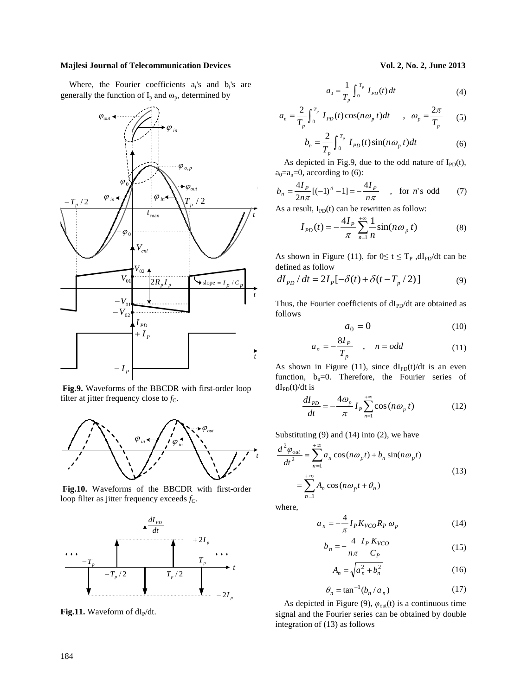Where, the Fourier coefficients a<sub>i</sub>'s and b<sub>i</sub>'s are generally the function of  $I_p$  and  $\omega_p$ , determined by



**Fig.9.** Waveforms of the BBCDR with first-order loop filter at jitter frequency close to  $f_c$ .



**Fig.10.** Waveforms of the BBCDR with first-order loop filter as jitter frequency exceeds  $f_C$ .



Fig.11. Waveform of dI<sub>P</sub>/dt.

$$
a_0 = \frac{1}{T_p} \int_0^{T_p} I_{PD}(t) dt
$$
 (4)

$$
a_n = \frac{2}{T_p} \int_0^{T_p} I_{p}f(t) \cos(n\omega_p t) dt \qquad , \quad \omega_p = \frac{2\pi}{T_p} \qquad (5)
$$

$$
b_n = \frac{2}{T_p} \int_0^{T_p} I_{p} (t) \sin(n\omega_p t) dt
$$
 (6)

As depicted in Fig.9, due to the odd nature of  $I_{PD}(t)$ ,  $a_0=a_n=0$ , according to (6):

$$
b_n = \frac{4I_P}{2n\pi} [(-1)^n - 1] = -\frac{4I_P}{n\pi} \quad , \text{ for } n \text{'s odd} \tag{7}
$$

As a result,  $I_{PD}(t)$  can be rewritten as follow:

$$
I_{PD}(t) = -\frac{4I_P}{\pi} \sum_{n=1}^{\infty} \frac{1}{n} \sin(n\omega_p t)
$$
 (8)

As shown in Figure (11), for  $0 \le t \le T_P$ ,  $dI_{PD}/dt$  can be defined as follow

$$
dI_{PD} / dt = 2I_P[-\delta(t) + \delta(t - T_p / 2)]
$$
 (9)

Thus, the Fourier coefficients of  $dI_{PD}/dt$  are obtained as follows

$$
a_0 = 0 \tag{10}
$$

$$
a_n = -\frac{8I_P}{T_p} \quad , \quad n = odd \tag{11}
$$

As shown in Figure (11), since  $dI_{PD}(t)/dt$  is an even function,  $b_n=0$ . Therefore, the Fourier series of  $dI_{PD}(t)/dt$  is

$$
\frac{dI_{PD}}{dt} = -\frac{4\omega_p}{\pi} I_p \sum_{n=1}^{+\infty} \cos(n\omega_p t)
$$
 (12)

Substituting  $(9)$  and  $(14)$  into  $(2)$ , we have

$$
\frac{d^2 \varphi_{out}}{dt^2} = \sum_{n=1}^{+\infty} a_n \cos(n\omega_p t) + b_n \sin(n\omega_p t)
$$
  
= 
$$
\sum_{n=1}^{+\infty} A_n \cos(n\omega_p t + \theta_n)
$$
 (13)

where,

$$
a_n = -\frac{4}{\pi} I_P K_{VCO} R_P \omega_p \tag{14}
$$

$$
b_n = -\frac{4}{n\pi} \frac{I_P K_{VCO}}{C_P}
$$
 (15)

$$
A_n = \sqrt{a_n^2 + b_n^2} \tag{16}
$$

$$
\theta_n = \tan^{-1}(b_n / a_n) \tag{17}
$$

As depicted in Figure (9),  $\varphi_{\text{out}}(t)$  is a continuous time signal and the Fourier series can be obtained by double integration of (13) as follows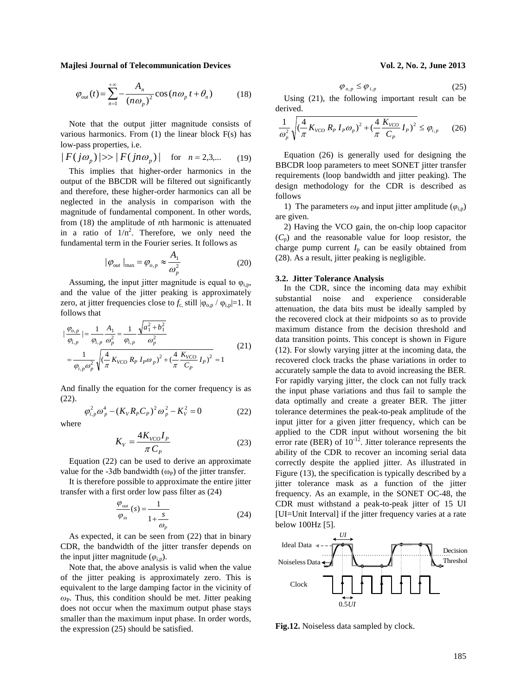$$
\varphi_{out}(t) = \sum_{n=1}^{+\infty} -\frac{A_n}{(n\omega_p)^2} \cos(n\omega_p t + \theta_n)
$$
 (18)

Note that the output jitter magnitude consists of various harmonics. From  $(1)$  the linear block  $F(s)$  has low-pass properties, i.e.

$$
|F(j\omega_p)| \gg |F(jn\omega_p)|
$$
 for  $n = 2,3,...$  (19)

This implies that higher-order harmonics in the output of the BBCDR will be filtered out significantly and therefore, these higher-order harmonics can all be neglected in the analysis in comparison with the magnitude of fundamental component. In other words, from (18) the amplitude of *n*th harmonic is attenuated in a ratio of  $1/n^2$ . Therefore, we only need the fundamental term in the Fourier series. It follows as

$$
|\varphi_{\text{out}}|_{\text{max}} = \varphi_{\text{o},p} \approx \frac{A_1}{\omega_p^2}
$$
 (20)

Assuming, the input jitter magnitude is equal to  $\varphi_{i,p}$ , and the value of the jitter peaking is approximately zero, at jitter frequencies close to  $f_c$ , still  $|\varphi_{o,p} / \varphi_{i,p}| = 1$ . It follows that

$$
\begin{split} |\frac{\varphi_{o,p}}{\varphi_{i,p}}| &= \frac{1}{\varphi_{i,p}} \frac{A_1}{\omega_p^2} = \frac{1}{\varphi_{i,p}} \frac{\sqrt{a_1^2 + b_1^2}}{\omega_p^2} \\ &= \frac{1}{\varphi_{i,p} \omega_p^2} \sqrt{\left(\frac{4}{\pi} K_{VCO} R_P I_P \omega_p\right)^2 + \left(\frac{4}{\pi} \frac{K_{VCO}}{C_P} I_P\right)^2} = 1 \end{split} \tag{21}
$$

And finally the equation for the corner frequency is as (22).

$$
\varphi_{i,p}^2 \omega_p^4 - (K_V R_p C_p)^2 \omega_p^2 - K_V^2 = 0 \tag{22}
$$

where

$$
K_V = \frac{4K_{VCO}I_P}{\pi C_P} \tag{23}
$$

Equation (22) can be used to derive an approximate value for the -3db bandwidth  $(\omega_P)$  of the jitter transfer.

It is therefore possible to approximate the entire jitter transfer with a first order low pass filter as (24)

$$
\frac{\varphi_{\text{out}}}{\varphi_{\text{in}}} (s) = \frac{1}{1 + \frac{s}{\omega_p}}
$$
(24)

As expected, it can be seen from (22) that in binary CDR, the bandwidth of the jitter transfer depends on the input jitter magnitude  $(\varphi_{i,p})$ .

Note that, the above analysis is valid when the value of the jitter peaking is approximately zero. This is equivalent to the large damping factor in the vicinity of  $\omega_{\rm P}$ . Thus, this condition should be met. Jitter peaking does not occur when the maximum output phase stays smaller than the maximum input phase. In order words, the expression (25) should be satisfied.

$$
\varphi_{o,p} \le \varphi_{i,p} \tag{25}
$$

Using (21), the following important result can be derived.

$$
\frac{1}{\omega_p^2} \sqrt{\left(\frac{4}{\pi} K_{VCO} R_p I_p \omega_p\right)^2 + \left(\frac{4}{\pi} \frac{K_{VCO}}{C_p} I_p\right)^2} \le \varphi_{i,p} \qquad (26)
$$

Equation (26) is generally used for designing the BBCDR loop parameters to meet SONET jitter transfer requirements (loop bandwidth and jitter peaking). The design methodology for the CDR is described as follows

1) The parameters  $\omega_P$  and input jitter amplitude ( $\varphi_{i,p}$ ) are given.

2) Having the VCO gain, the on-chip loop capacitor  $(C_p)$  and the reasonable value for loop resistor, the charge pump current  $I_p$  can be easily obtained from (28). As a result, jitter peaking is negligible.

#### **3.2. Jitter Tolerance Analysis**

In the CDR, since the incoming data may exhibit substantial noise and experience considerable attenuation, the data bits must be ideally sampled by the recovered clock at their midpoints so as to provide maximum distance from the decision threshold and data transition points. This concept is shown in Figure (12). For slowly varying jitter at the incoming data, the recovered clock tracks the phase variations in order to accurately sample the data to avoid increasing the BER. For rapidly varying jitter, the clock can not fully track the input phase variations and thus fail to sample the data optimally and create a greater BER. The jitter tolerance determines the peak-to-peak amplitude of the input jitter for a given jitter frequency, which can be applied to the CDR input without worsening the bit error rate (BER) of  $10^{-12}$ . Jitter tolerance represents the ability of the CDR to recover an incoming serial data correctly despite the applied jitter. As illustrated in Figure (13), the specification is typically described by a jitter tolerance mask as a function of the jitter frequency. As an example, in the SONET OC-48, the CDR must withstand a peak-to-peak jitter of 15 UI [UI=Unit Interval] if the jitter frequency varies at a rate below 100Hz [5].



**Fig.12.** Noiseless data sampled by clock.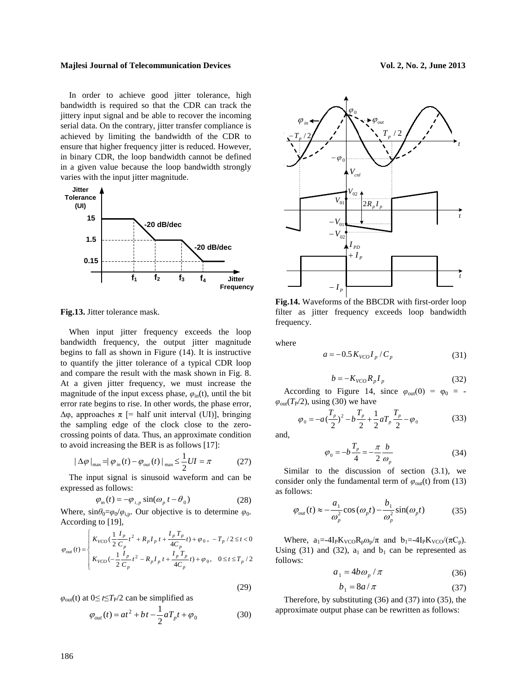In order to achieve good jitter tolerance, high bandwidth is required so that the CDR can track the jittery input signal and be able to recover the incoming serial data. On the contrary, jitter transfer compliance is achieved by limiting the bandwidth of the CDR to ensure that higher frequency jitter is reduced. However, in binary CDR, the loop bandwidth cannot be defined in a given value because the loop bandwidth strongly varies with the input jitter magnitude.



**Fig.13.** Jitter tolerance mask.

When input jitter frequency exceeds the loop bandwidth frequency, the output jitter magnitude begins to fall as shown in Figure (14). It is instructive to quantify the jitter tolerance of a typical CDR loop and compare the result with the mask shown in Fig. 8. At a given jitter frequency, we must increase the magnitude of the input excess phase,  $\varphi_{in}(t)$ , until the bit error rate begins to rise. In other words, the phase error,  $Δφ$ , approaches π [= half unit interval (UI)], bringing the sampling edge of the clock close to the zerocrossing points of data. Thus, an approximate condition to avoid increasing the BER is as follows [17]:

$$
|\Delta \varphi|_{\text{max}} = |\varphi_{in}(t) - \varphi_{out}(t)|_{\text{max}} \le \frac{1}{2}UI = \pi
$$
 (27)

The input signal is sinusoid waveform and can be expressed as follows:

$$
\varphi_{in}(t) = -\varphi_{i,p} \sin(\omega_p t - \theta_0)
$$
\n(28)

Where,  $\sin\theta_0 = \varphi_0/\varphi_{i,p}$ . Our objective is to determine  $\varphi_0$ . According to [19],

$$
\varphi_{out}(t) = \begin{cases} K_{VCO} \left( \frac{1}{2} \frac{I_p}{C_p} t^2 + R_p I_p t + \frac{I_p T_p}{4C_p} t \right) + \varphi_0, & -T_p / 2 \le t < 0 \\ K_{VCO} \left( -\frac{1}{2} \frac{I_p}{C_p} t^2 - R_p I_p t + \frac{I_p T_p}{4C_p} t \right) + \varphi_0, & 0 \le t \le T_p / 2 \end{cases}
$$

(29)

 $\varphi_{\text{out}}(t)$  at  $0 \le t \le T_P/2$  can be simplified as

$$
\varphi_{out}(t) = at^2 + bt - \frac{1}{2} a T_p t + \varphi_0 \tag{30}
$$



**Fig.14.** Waveforms of the BBCDR with first-order loop filter as jitter frequency exceeds loop bandwidth frequency.

where

$$
a = -0.5 K_{VCO} I_p / C_p \tag{31}
$$

$$
b = -K_{VCO}R_p I_p \tag{32}
$$

According to Figure 14, since  $\varphi_{\text{out}}(0) = \varphi_0 = \varphi_{\text{out}}(T_{\text{P}}/2)$ , using (30) we have

$$
\varphi_0 = -a(\frac{T_p}{2})^2 - b\frac{T_p}{2} + \frac{1}{2}aT_p\frac{T_p}{2} - \varphi_0
$$
\n(33)

and,

$$
\varphi_0 = -b \frac{T_p}{4} = -\frac{\pi}{2} \frac{b}{\omega_p}
$$
\n(34)

Similar to the discussion of section  $(3.1)$ , we consider only the fundamental term of  $\varphi_{\text{out}}(t)$  from (13) as follows:

$$
\varphi_{out}(t) \approx -\frac{a_1}{\omega_p^2} \cos{(\omega_p t)} - \frac{b_1}{\omega_p^2} \sin(\omega_p t)
$$
 (35)

Where,  $a_1 = -4I_P K_{VCO} R_p \omega_p / \pi$  and  $b_1 = -4I_P K_{VCO} / (\pi C_p)$ . Using (31) and (32),  $a_1$  and  $b_1$  can be represented as follows:

$$
a_1 = 4b\omega_p / \pi \tag{36}
$$

$$
b_1 = 8a/\pi \tag{37}
$$

Therefore, by substituting (36) and (37) into (35), the approximate output phase can be rewritten as follows: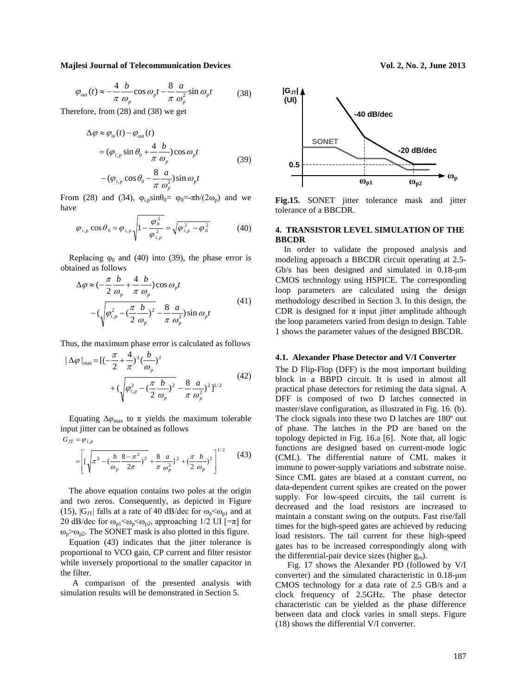$$
\varphi_{\text{out}}(t) \approx -\frac{4}{\pi} \frac{b}{\omega_p} \cos \omega_p t - \frac{8}{\pi} \frac{a}{\omega_p^2} \sin \omega_p t \tag{38}
$$

Therefore, from (28) and (38) we get

$$
\Delta \varphi \approx \varphi_{in}(t) - \varphi_{out}(t)
$$
  
=  $(\varphi_{i,p} \sin \theta_0 + \frac{4}{\pi} \frac{b}{\omega_p}) \cos \omega_p t$   
 $-(\varphi_{i,p} \cos \theta_0 - \frac{8}{\pi} \frac{a}{\omega_p^2}) \sin \omega_p t$  (39)

From (28) and (34),  $\varphi_{i,p}$ sin $\theta_0 = \varphi_0 = -\pi b/(2\omega_p)$  and we have

$$
\varphi_{i,p} \cos \theta_0 = \varphi_{i,p} \sqrt{1 - \frac{\varphi_0^2}{\varphi_{i,p}^2}} = \sqrt{\varphi_{i,p}^2 - \varphi_0^2}
$$
(40)

Replacing  $\varphi_0$  and (40) into (39), the phase error is obtained as follows

$$
\Delta \varphi \approx \left(-\frac{\pi}{2} \frac{b}{\omega_p} + \frac{4}{\pi} \frac{b}{\omega_p}\right) \cos \omega_p t
$$
  
 
$$
- \left(\sqrt{\varphi_{i,p}^2 - \left(\frac{\pi}{2} \frac{b}{\omega_p}\right)^2} - \frac{8}{\pi} \frac{a}{\omega_p^2} \right) \sin \omega_p t
$$
 (41)

Thus, the maximum phase error is calculated as follows

$$
|\Delta \varphi|_{\text{max}} = [(-\frac{\pi}{2} + \frac{4}{\pi})^2 (\frac{b}{\omega_p})^2 + (\sqrt{\varphi_{i,p}^2 - (\frac{\pi}{2} \frac{b}{\omega_p})^2} - \frac{8}{\pi} \frac{a}{\omega_p^2})^2]^{1/2}
$$
(42)

Equating  $Δφ<sub>max</sub>$  to π yields the maximum tolerable input jitter can be obtained as follows

$$
G_{JT} = \varphi_{i,p}
$$
  
=  $\left[ \left( \sqrt{\pi^2 - \left( \frac{b}{\omega_p} \frac{8 - \pi^2}{2\pi} \right)^2} + \frac{8}{\pi} \frac{a}{\omega_p^2} \right]^2 + \left( \frac{\pi}{2} \frac{b}{\omega_p} \right)^2 \right]^{1/2}$ 

(43)

The above equation contains two poles at the origin and two zeros. Consequently, as depicted in Figure (15),  $|G_{JT}|$  falls at a rate of 40 dB/dec for  $\omega_p < \omega_{p1}$  and at 20 dB/dec for  $\omega_{p1} < \omega_p < \omega_{p2}$ , approaching 1/2 UI [= $\pi$ ] for  $\omega_p > \omega_{p2}$ . The SONET mask is also plotted in this figure.

Equation (43) indicates that the jitter tolerance is proportional to VCO gain, CP current and filter resistor while inversely proportional to the smaller capacitor in the filter.

A comparison of the presented analysis with simulation results will be demonstrated in Section 5.



**Fig.15.** SONET jitter tolerance mask and jitter tolerance of a BBCDR.

# **4. TRANSISTOR LEVEL SIMULATION OF THE BBCDR**

In order to validate the proposed analysis and modeling approach a BBCDR circuit operating at 2.5- Gb/s has been designed and simulated in 0.18-μm CMOS technology using HSPICE. The corresponding loop parameters are calculated using the design methodology described in Section 3. In this design, the CDR is designed for  $\pi$  input jitter amplitude although the loop parameters varied from design to design. Table 1 shows the parameter values of the designed BBCDR.

#### **4.1. Alexander Phase Detector and V/I Converter**

The D Flip-Flop (DFF) is the most important building block in a BBPD circuit. It is used in almost all practical phase detectors for retiming the data signal. A DFF is composed of two D latches connected in master/slave configuration, as illustrated in Fig. 16. (b). The clock signals into these two D latches are 180º out of phase. The latches in the PD are based on the topology depicted in Fig. 16.a [6]. Note that, all logic functions are designed based on current-mode logic (CML). The differential nature of CML makes it immune to power-supply variations and substrate noise. Since CML gates are biased at a constant current, no data-dependent current spikes are created on the power supply. For low-speed circuits, the tail current is decreased and the load resistors are increased to maintain a constant swing on the outputs. Fast rise/fall times for the high-speed gates are achieved by reducing load resistors. The tail current for these high-speed gates has to be increased correspondingly along with the differential-pair device sizes (higher  $g_m$ ).

Fig. 17 shows the Alexander PD (followed by V/I converter) and the simulated characteristic in 0.18-μm CMOS technology for a data rate of 2.5 GB/s and a clock frequency of 2.5GHz. The phase detector characteristic can be yielded as the phase difference between data and clock varies in small steps. Figure (18) shows the differential V/I converter.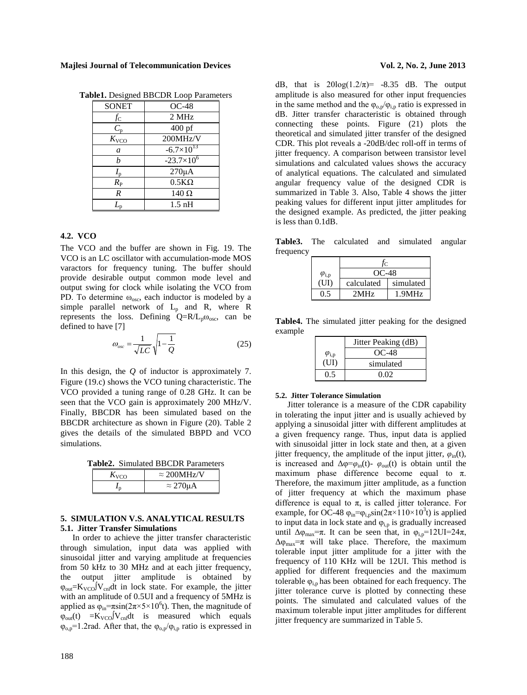| <b>SONET</b>   | $OC-48$             |
|----------------|---------------------|
| $f_{\rm C}$    | $2$ MHz             |
| $C_{p}$        | 400 pf              |
| $K_{VCO}$      | 200MHz/V            |
| $\mathfrak{a}$ | $-6.7\times10^{13}$ |
| h              | $-23.7\times10^{6}$ |
|                | $270\mu A$          |
| $R_{\rm P}$    | $0.5K\Omega$        |
| R              | $140 \Omega$        |
|                | $1.5$ nH            |

**Table1.** Designed BBCDR Loop Parameters

# **4.2. VCO**

The VCO and the buffer are shown in Fig. 19. The VCO is an LC oscillator with accumulation-mode MOS varactors for frequency tuning. The buffer should provide desirable output common mode level and output swing for clock while isolating the VCO from PD. To determine  $\omega_{\rm osc}$ , each inductor is modeled by a simple parallel network of  $L_p$  and R, where R represents the loss. Defining  $Q=R/L_p\omega_{osc}$ , can be defined to have [7]

$$
\omega_{osc} = \frac{1}{\sqrt{LC}} \sqrt{1 - \frac{1}{Q}} \tag{25}
$$

In this design, the *Q* of inductor is approximately 7. Figure (19.c) shows the VCO tuning characteristic. The VCO provided a tuning range of 0.28 GHz. It can be seen that the VCO gain is approximately 200 MHz/V. Finally, BBCDR has been simulated based on the BBCDR architecture as shown in Figure (20). Table 2 gives the details of the simulated BBPD and VCO simulations.

**Table2.** Simulated BBCDR Parameters

| Avco | $\approx 200$ MHz/V   |
|------|-----------------------|
|      | $\approx$ 270 $\mu$ A |

# **5. SIMULATION V.S. ANALYTICAL RESULTS 5.1. Jitter Transfer Simulations**

In order to achieve the jitter transfer characteristic through simulation, input data was applied with sinusoidal jitter and varying amplitude at frequencies from 50 kHz to 30 MHz and at each jitter frequency, the output jitter amplitude is obtained by  $\varphi_{\text{out}}=K_{VCO}[\text{V}_{\text{in}}]$ dt in lock state. For example, the jitter with an amplitude of 0.5UI and a frequency of 5MHz is applied as  $\varphi_{\text{in}} = \pi \sin(2\pi \times 5 \times 10^6 t)$ . Then, the magnitude of  $\varphi_{out}(t) = K_{VCO} V_{en}dt$  is measured which equals  $\varphi_{o,p}=1.2$ rad. After that, the  $\varphi_{o,p}/\varphi_{i,p}$  ratio is expressed in

dB, that is  $20\log(1.2/\pi)$  -8.35 dB. The output amplitude is also measured for other input frequencies in the same method and the  $\varphi_{o,p}/\varphi_{i,p}$  ratio is expressed in dB. Jitter transfer characteristic is obtained through connecting these points. Figure (21) plots the theoretical and simulated jitter transfer of the designed CDR. This plot reveals a -20dB/dec roll-off in terms of jitter frequency. A comparison between transistor level simulations and calculated values shows the accuracy of analytical equations. The calculated and simulated angular frequency value of the designed CDR is summarized in Table 3. Also, Table 4 shows the jitter peaking values for different input jitter amplitudes for the designed example. As predicted, the jitter peaking is less than 0.1dB.

**Table3.** The calculated and simulated angular frequency

| $\varphi_{\rm i,p}$ | $OC-48$    |           |  |
|---------------------|------------|-----------|--|
| (UI)                | calculated | simulated |  |
| በ ና                 | 2MHz       | 1.9MHz    |  |

**Table4.** The simulated jitter peaking for the designed example

|                     | Jitter Peaking (dB) |  |
|---------------------|---------------------|--|
| $\varphi_{\rm i,p}$ | $OC-48$             |  |
| (UI)                | simulated           |  |
| 0.5                 | 0.02                |  |

#### **5.2. Jitter Tolerance Simulation**

Jitter tolerance is a measure of the CDR capability in tolerating the input jitter and is usually achieved by applying a sinusoidal jitter with different amplitudes at a given frequency range. Thus, input data is applied with sinusoidal jitter in lock state and then, at a given jitter frequency, the amplitude of the input jitter,  $\varphi_{in}(t)$ , is increased and  $\Delta \varphi = \varphi_{\text{in}}(t) - \varphi_{\text{out}}(t)$  is obtain until the maximum phase difference become equal to  $\pi$ . Therefore, the maximum jitter amplitude, as a function of jitter frequency at which the maximum phase difference is equal to  $\pi$ , is called jitter tolerance. For example, for OC-48  $\varphi_{in} = \varphi_{i,p} \sin(2\pi \times 110 \times 10^3 t)$  is applied to input data in lock state and  $\varphi_{i,p}$  is gradually increased until  $\Delta \varphi_{\text{max}} = \pi$ . It can be seen that, in  $\varphi_{\text{i,p}} = 12 \text{UI} = 24\pi$ ,  $\Delta \varphi_{\text{max}} = \pi$  will take place. Therefore, the maximum tolerable input jitter amplitude for a jitter with the frequency of 110 KHz will be 12UI. This method is applied for different frequencies and the maximum tolerable  $\varphi$ <sub>i,p</sub> has been obtained for each frequency. The jitter tolerance curve is plotted by connecting these points. The simulated and calculated values of the maximum tolerable input jitter amplitudes for different jitter frequency are summarized in Table 5.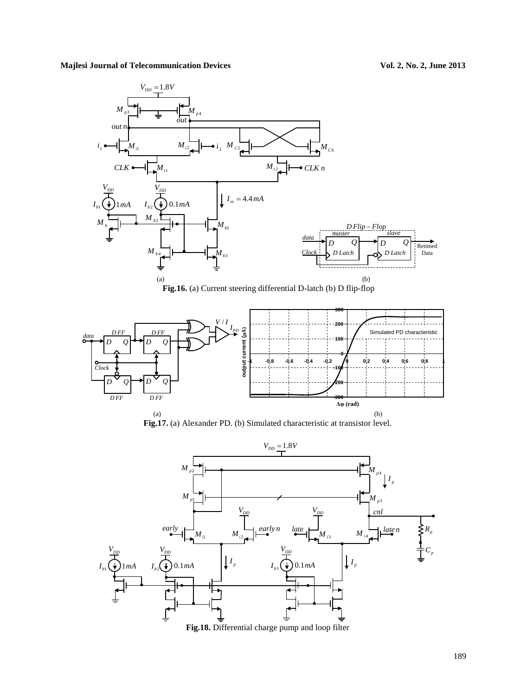

**Fig.16.** (a) Current steering differential D-latch (b) D flip-flop



**Fig.17.** (a) Alexander PD. (b) Simulated characteristic at transistor level.



**Fig.18.** Differential charge pump and loop filter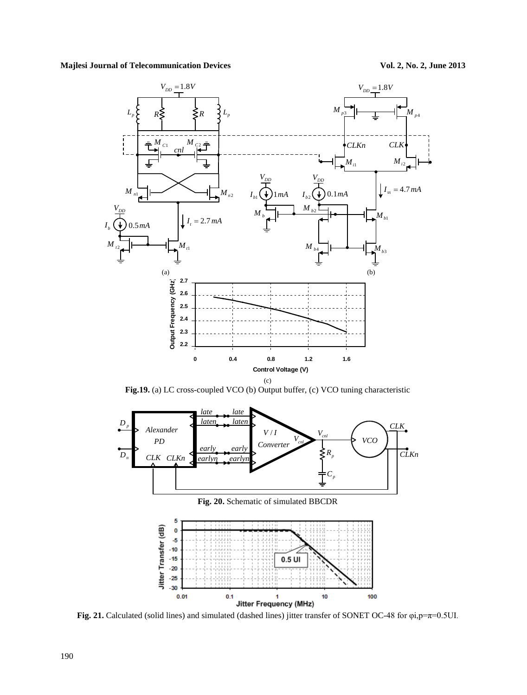

**Fig.19.** (a) LC cross-coupled VCO (b) Output buffer, (c) VCO tuning characteristic



**Fig. 20.** Schematic of simulated BBCDR



**Fig. 21.** Calculated (solid lines) and simulated (dashed lines) jitter transfer of SONET OC-48 for φi,p=π=0.5UI.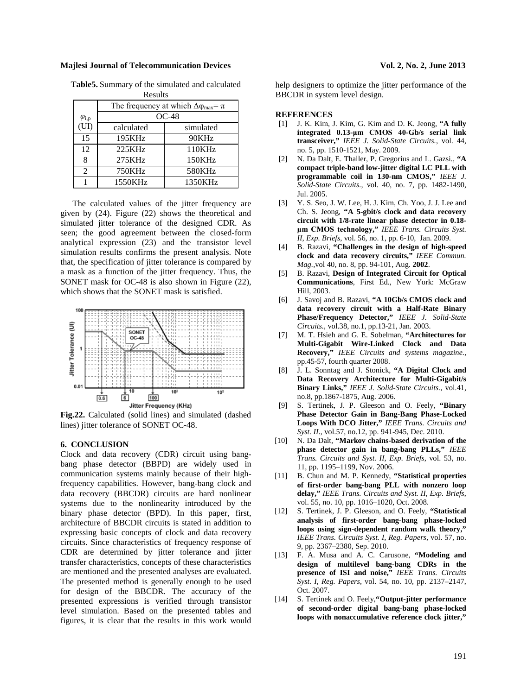**Table5.** Summary of the simulated and calculated Results

|                 | The frequency at which $\Delta \varphi_{\text{max}} = \pi$ |           |  |  |
|-----------------|------------------------------------------------------------|-----------|--|--|
| $\varphi_{i,p}$ | $OC-48$                                                    |           |  |  |
| (UI)            | calculated                                                 | simulated |  |  |
| 15              | 195KHz                                                     | 90KHz     |  |  |
| 12              | 225KHz                                                     | 110KHz    |  |  |
| 8               | 275KHz                                                     | 150KHz    |  |  |
| $\overline{c}$  | 750KHz                                                     | 580KHz    |  |  |
|                 | 1550KHz                                                    | 1350KHz   |  |  |

The calculated values of the jitter frequency are given by (24). Figure (22) shows the theoretical and simulated jitter tolerance of the designed CDR. As seen; the good agreement between the closed-form analytical expression (23) and the transistor level simulation results confirms the present analysis. Note that, the specification of jitter tolerance is compared by a mask as a function of the jitter frequency. Thus, the SONET mask for OC-48 is also shown in Figure (22), which shows that the SONET mask is satisfied.



**Fig.22.** Calculated (solid lines) and simulated (dashed lines) jitter tolerance of SONET OC-48.

#### **6. CONCLUSION**

Clock and data recovery (CDR) circuit using bangbang phase detector (BBPD) are widely used in communication systems mainly because of their highfrequency capabilities. However, bang-bang clock and data recovery (BBCDR) circuits are hard nonlinear systems due to the nonlinearity introduced by the binary phase detector (BPD). In this paper, first, architecture of BBCDR circuits is stated in addition to expressing basic concepts of clock and data recovery circuits. Since characteristics of frequency response of CDR are determined by jitter tolerance and jitter transfer characteristics, concepts of these characteristics are mentioned and the presented analyses are evaluated. The presented method is generally enough to be used for design of the BBCDR. The accuracy of the presented expressions is verified through transistor level simulation. Based on the presented tables and figures, it is clear that the results in this work would

help designers to optimize the jitter performance of the BBCDR in system level design.

#### **REFERENCES**

- [1] J. K. Kim, J. Kim, G. Kim and D. K. Jeong, **"A fully integrated 0.13-μm CMOS 40-Gb/s serial link transceiver,"** *IEEE J. Solid-State Circuits.*, vol. 44, no. 5, pp. 1510-1521, May. 2009.
- [2] N. Da Dalt, E. Thaller, P. Gregorius and L. Gazsi*.*, **"A compact triple-band low-jitter digital LC PLL with programmable coil in 130-nm CMOS,"** *IEEE J. Solid-State Circuits.*, vol. 40, no. 7, pp. 1482-1490, Jul. 2005.
- [3] Y. S. Seo, J. W. Lee, H. J. Kim, Ch. Yoo, J. J. Lee and Ch. S. Jeong, **"A 5-gbit/s clock and data recovery circuit with 1/8-rate linear phase detector in 0.18 μm CMOS technology,"** *IEEE Trans. Circuits Syst. II*, *Exp. Briefs*, vol. 56, no. 1, pp. 6-10, Jan. 2009.
- [4] B. Razavi, **"Challenges in the design of high-speed clock and data recovery circuits,"** *IEEE Commun. Mag.,*vol 40, no. 8, pp. 94-101, Aug. **2002**.
- [5] B. Razavi, **Design of Integrated Circuit for Optical Communications***,* First Ed., New York: McGraw Hill, 2003.
- [6] J. Savoj and B. Razavi, **"A 10Gb/s CMOS clock and data recovery circuit with a Half-Rate Binary Phase/Frequency Detector,"** *IEEE J. Solid-State Circuits.*, vol.38, no.1, pp.13-21, Jan. 2003.
- [7] M. T. Hsieh and G. E. Sobelman, **"Architectures for Multi-Gigabit Wire-Linked Clock and Data Recovery,"** *IEEE Circuits and systems magazine.*, pp.45-57, fourth quarter 2008.
- [8] J. L. Sonntag and J. Stonick, **"A Digital Clock and Data Recovery Architecture for Multi-Gigabit/s Binary Links,"** *IEEE J. Solid-State Circuits.*, vol.41, no.8, pp.1867-1875, Aug. 2006.
- [9] S. Tertinek, J. P. Gleeson and O. Feely, **"Binary Phase Detector Gain in Bang-Bang Phase-Locked Loops With DCO Jitter,"** *IEEE Trans. Circuits and Syst. II*., vol.57, no.12, pp. 941-945, Dec. 2010.
- [10] N. Da Dalt, **"Markov chains-based derivation of the phase detector gain in bang-bang PLLs,"** *IEEE Trans. Circuits and Syst. II, Exp. Briefs*, vol. 53, no. 11, pp. 1195–1199, Nov. 2006.
- [11] B. Chun and M. P. Kennedy, **"Statistical properties of first-order bang-bang PLL with nonzero loop delay,"** *IEEE Trans. Circuits and Syst. II, Exp. Briefs*, vol. 55, no. 10, pp. 1016–1020, Oct. 2008.
- [12] S. Tertinek, J. P. Gleeson, and O. Feely, **"Statistical analysis of first-order bang-bang phase-locked loops using sign-dependent random walk theory,"** *IEEE Trans. Circuits Syst. I, Reg. Papers*, vol. 57, no. 9, pp. 2367–2380, Sep. 2010.
- [13] F. A. Musa and A. C. Carusone, **"Modeling and design of multilevel bang-bang CDRs in the presence of ISI and noise,"** *IEEE Trans. Circuits Syst. I, Reg. Papers*, vol. 54, no. 10, pp. 2137–2147, Oct. 2007.
- [14] S. Tertinek and O. Feely,**"Output-jitter performance of second-order digital bang-bang phase-locked loops with nonaccumulative reference clock jitter,"**